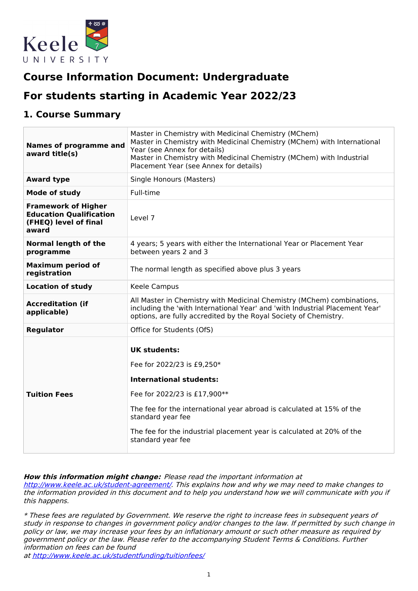

# **Course Information Document: Undergraduate**

# **For students starting in Academic Year 2022/23**

## **1. Course Summary**

| <b>Names of programme and</b><br>award title(s)                                                | Master in Chemistry with Medicinal Chemistry (MChem)<br>Master in Chemistry with Medicinal Chemistry (MChem) with International<br>Year (see Annex for details)<br>Master in Chemistry with Medicinal Chemistry (MChem) with Industrial<br>Placement Year (see Annex for details)                               |  |  |
|------------------------------------------------------------------------------------------------|-----------------------------------------------------------------------------------------------------------------------------------------------------------------------------------------------------------------------------------------------------------------------------------------------------------------|--|--|
| <b>Award type</b>                                                                              | Single Honours (Masters)                                                                                                                                                                                                                                                                                        |  |  |
| <b>Mode of study</b>                                                                           | Full-time                                                                                                                                                                                                                                                                                                       |  |  |
| <b>Framework of Higher</b><br><b>Education Qualification</b><br>(FHEQ) level of final<br>award | Level 7                                                                                                                                                                                                                                                                                                         |  |  |
| <b>Normal length of the</b><br>programme                                                       | 4 years; 5 years with either the International Year or Placement Year<br>between years 2 and 3                                                                                                                                                                                                                  |  |  |
| <b>Maximum period of</b><br>registration                                                       | The normal length as specified above plus 3 years                                                                                                                                                                                                                                                               |  |  |
| <b>Location of study</b>                                                                       | Keele Campus                                                                                                                                                                                                                                                                                                    |  |  |
| <b>Accreditation (if</b><br>applicable)                                                        | All Master in Chemistry with Medicinal Chemistry (MChem) combinations,<br>including the 'with International Year' and 'with Industrial Placement Year'<br>options, are fully accredited by the Royal Society of Chemistry.                                                                                      |  |  |
| Regulator                                                                                      | Office for Students (OfS)                                                                                                                                                                                                                                                                                       |  |  |
| <b>Tuition Fees</b>                                                                            | <b>UK students:</b><br>Fee for 2022/23 is £9,250*<br><b>International students:</b><br>Fee for 2022/23 is £17,900**<br>The fee for the international year abroad is calculated at 15% of the<br>standard year fee<br>The fee for the industrial placement year is calculated at 20% of the<br>standard year fee |  |  |

#### **How this information might change:** Please read the important information at

<http://www.keele.ac.uk/student-agreement/>. This explains how and why we may need to make changes to the information provided in this document and to help you understand how we will communicate with you if this happens.

\* These fees are regulated by Government. We reserve the right to increase fees in subsequent years of study in response to changes in government policy and/or changes to the law. If permitted by such change in policy or law, we may increase your fees by an inflationary amount or such other measure as required by government policy or the law. Please refer to the accompanying Student Terms & Conditions. Further information on fees can be found

at <http://www.keele.ac.uk/studentfunding/tuitionfees/>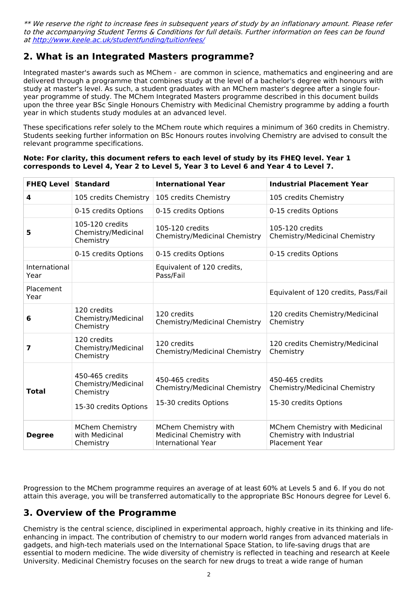\*\* We reserve the right to increase fees in subsequent years of study by an inflationary amount. Please refer to the accompanying Student Terms & Conditions for full details. Further information on fees can be found at <http://www.keele.ac.uk/studentfunding/tuitionfees/>

## **2. What is an Integrated Masters programme?**

Integrated master's awards such as MChem - are common in science, mathematics and engineering and are delivered through a programme that combines study at the level of a bachelor's degree with honours with study at master's level. As such, a student graduates with an MChem master's degree after a single fouryear programme of study. The MChem Integrated Masters programme described in this document builds upon the three year BSc Single Honours Chemistry with Medicinal Chemistry programme by adding a fourth year in which students study modules at an advanced level.

These specifications refer solely to the MChem route which requires a minimum of 360 credits in Chemistry. Students seeking further information on BSc Honours routes involving Chemistry are advised to consult the relevant programme specifications.

#### **Note: For clarity, this document refers to each level of study by its FHEQ level. Year 1 corresponds to Level 4, Year 2 to Level 5, Year 3 to Level 6 and Year 4 to Level 7.**

| <b>FHEQ Level Standard</b> |                                                                              | <b>International Year</b>                                                     | <b>Industrial Placement Year</b>                                                     |
|----------------------------|------------------------------------------------------------------------------|-------------------------------------------------------------------------------|--------------------------------------------------------------------------------------|
| 4                          | 105 credits Chemistry                                                        | 105 credits Chemistry                                                         | 105 credits Chemistry                                                                |
|                            | 0-15 credits Options                                                         | 0-15 credits Options                                                          | 0-15 credits Options                                                                 |
| 5                          | 105-120 credits<br>Chemistry/Medicinal<br>Chemistry                          | 105-120 credits<br>Chemistry/Medicinal Chemistry                              | 105-120 credits<br>Chemistry/Medicinal Chemistry                                     |
|                            | 0-15 credits Options                                                         | 0-15 credits Options                                                          | 0-15 credits Options                                                                 |
| International<br>Year      |                                                                              | Equivalent of 120 credits,<br>Pass/Fail                                       |                                                                                      |
| Placement<br>Year          |                                                                              |                                                                               | Equivalent of 120 credits, Pass/Fail                                                 |
| 6                          | 120 credits<br>Chemistry/Medicinal<br>Chemistry                              | 120 credits<br>Chemistry/Medicinal Chemistry                                  | 120 credits Chemistry/Medicinal<br>Chemistry                                         |
| 7                          | 120 credits<br>Chemistry/Medicinal<br>Chemistry                              | 120 credits<br>Chemistry/Medicinal Chemistry                                  | 120 credits Chemistry/Medicinal<br>Chemistry                                         |
| <b>Total</b>               | 450-465 credits<br>Chemistry/Medicinal<br>Chemistry<br>15-30 credits Options | 450-465 credits<br>Chemistry/Medicinal Chemistry<br>15-30 credits Options     | 450-465 credits<br>Chemistry/Medicinal Chemistry<br>15-30 credits Options            |
| <b>Degree</b>              | <b>MChem Chemistry</b><br>with Medicinal<br>Chemistry                        | MChem Chemistry with<br>Medicinal Chemistry with<br><b>International Year</b> | MChem Chemistry with Medicinal<br>Chemistry with Industrial<br><b>Placement Year</b> |

Progression to the MChem programme requires an average of at least 60% at Levels 5 and 6. If you do not attain this average, you will be transferred automatically to the appropriate BSc Honours degree for Level 6.

### **3. Overview of the Programme**

Chemistry is the central science, disciplined in experimental approach, highly creative in its thinking and lifeenhancing in impact. The contribution of chemistry to our modern world ranges from advanced materials in gadgets, and high-tech materials used on the International Space Station, to life-saving drugs that are essential to modern medicine. The wide diversity of chemistry is reflected in teaching and research at Keele University. Medicinal Chemistry focuses on the search for new drugs to treat a wide range of human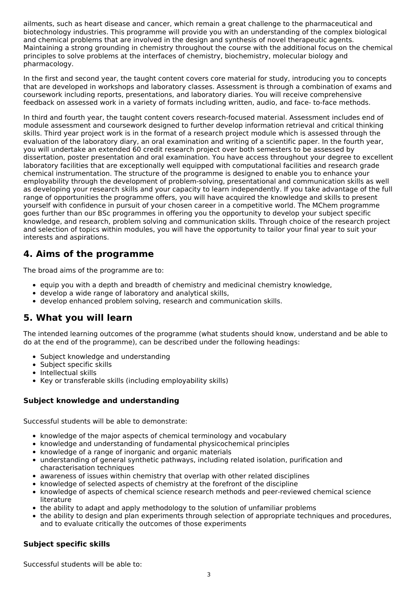ailments, such as heart disease and cancer, which remain a great challenge to the pharmaceutical and biotechnology industries. This programme will provide you with an understanding of the complex biological and chemical problems that are involved in the design and synthesis of novel therapeutic agents. Maintaining a strong grounding in chemistry throughout the course with the additional focus on the chemical principles to solve problems at the interfaces of chemistry, biochemistry, molecular biology and pharmacology.

In the first and second year, the taught content covers core material for study, introducing you to concepts that are developed in workshops and laboratory classes. Assessment is through a combination of exams and coursework including reports, presentations, and laboratory diaries. You will receive comprehensive feedback on assessed work in a variety of formats including written, audio, and face- to-face methods.

In third and fourth year, the taught content covers research-focused material. Assessment includes end of module assessment and coursework designed to further develop information retrieval and critical thinking skills. Third year project work is in the format of a research project module which is assessed through the evaluation of the laboratory diary, an oral examination and writing of a scientific paper. In the fourth year, you will undertake an extended 60 credit research project over both semesters to be assessed by dissertation, poster presentation and oral examination. You have access throughout your degree to excellent laboratory facilities that are exceptionally well equipped with computational facilities and research grade chemical instrumentation. The structure of the programme is designed to enable you to enhance your employability through the development of problem-solving, presentational and communication skills as well as developing your research skills and your capacity to learn independently. If you take advantage of the full range of opportunities the programme offers, you will have acquired the knowledge and skills to present yourself with confidence in pursuit of your chosen career in a competitive world. The MChem programme goes further than our BSc programmes in offering you the opportunity to develop your subject specific knowledge, and research, problem solving and communication skills. Through choice of the research project and selection of topics within modules, you will have the opportunity to tailor your final year to suit your interests and aspirations.

## **4. Aims of the programme**

The broad aims of the programme are to:

- equip you with a depth and breadth of chemistry and medicinal chemistry knowledge,
- develop a wide range of laboratory and analytical skills,
- develop enhanced problem solving, research and communication skills.

### **5. What you will learn**

The intended learning outcomes of the programme (what students should know, understand and be able to do at the end of the programme), can be described under the following headings:

- Subject knowledge and understanding
- Subject specific skills
- Intellectual skills
- Key or transferable skills (including employability skills)

### **Subject knowledge and understanding**

Successful students will be able to demonstrate:

- knowledge of the major aspects of chemical terminology and vocabulary
- knowledge and understanding of fundamental physicochemical principles
- knowledge of a range of inorganic and organic materials
- understanding of general synthetic pathways, including related isolation, purification and characterisation techniques
- awareness of issues within chemistry that overlap with other related disciplines
- knowledge of selected aspects of chemistry at the forefront of the discipline
- knowledge of aspects of chemical science research methods and peer-reviewed chemical science literature
- the ability to adapt and apply methodology to the solution of unfamiliar problems
- the ability to design and plan experiments through selection of appropriate techniques and procedures, and to evaluate critically the outcomes of those experiments

### **Subject specific skills**

Successful students will be able to: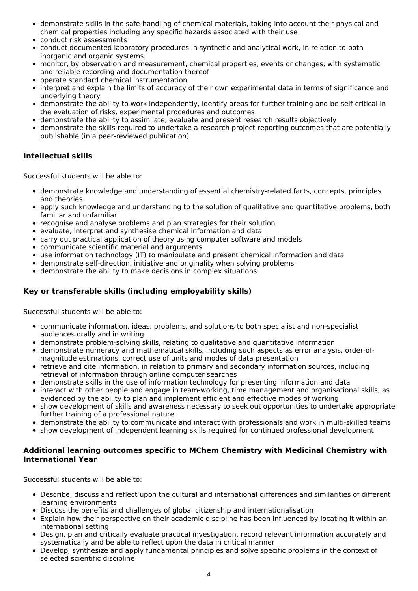- demonstrate skills in the safe-handling of chemical materials, taking into account their physical and chemical properties including any specific hazards associated with their use
- conduct risk assessments
- conduct documented laboratory procedures in synthetic and analytical work, in relation to both inorganic and organic systems
- monitor, by observation and measurement, chemical properties, events or changes, with systematic and reliable recording and documentation thereof
- operate standard chemical instrumentation
- interpret and explain the limits of accuracy of their own experimental data in terms of significance and underlying theory
- demonstrate the ability to work independently, identify areas for further training and be self-critical in the evaluation of risks, experimental procedures and outcomes
- demonstrate the ability to assimilate, evaluate and present research results objectively
- demonstrate the skills required to undertake a research project reporting outcomes that are potentially publishable (in a peer-reviewed publication)

### **Intellectual skills**

Successful students will be able to:

- demonstrate knowledge and understanding of essential chemistry-related facts, concepts, principles and theories
- apply such knowledge and understanding to the solution of qualitative and quantitative problems, both familiar and unfamiliar
- recognise and analyse problems and plan strategies for their solution
- evaluate, interpret and synthesise chemical information and data
- carry out practical application of theory using computer software and models
- communicate scientific material and arguments
- use information technology (IT) to manipulate and present chemical information and data
- demonstrate self-direction, initiative and originality when solving problems
- demonstrate the ability to make decisions in complex situations

### **Key or transferable skills (including employability skills)**

Successful students will be able to:

- communicate information, ideas, problems, and solutions to both specialist and non-specialist audiences orally and in writing
- demonstrate problem-solving skills, relating to qualitative and quantitative information
- demonstrate numeracy and mathematical skills, including such aspects as error analysis, order-of magnitude estimations, correct use of units and modes of data presentation
- retrieve and cite information, in relation to primary and secondary information sources, including retrieval of information through online computer searches
- demonstrate skills in the use of information technology for presenting information and data
- interact with other people and engage in team-working, time management and organisational skills, as evidenced by the ability to plan and implement efficient and effective modes of working
- show development of skills and awareness necessary to seek out opportunities to undertake appropriate further training of a professional nature
- demonstrate the ability to communicate and interact with professionals and work in multi-skilled teams
- show development of independent learning skills required for continued professional development

#### **Additional learning outcomes specific to MChem Chemistry with Medicinal Chemistry with International Year**

Successful students will be able to:

- Describe, discuss and reflect upon the cultural and international differences and similarities of different learning environments
- Discuss the benefits and challenges of global citizenship and internationalisation
- Explain how their perspective on their academic discipline has been influenced by locating it within an international setting
- Design, plan and critically evaluate practical investigation, record relevant information accurately and systematically and be able to reflect upon the data in critical manner
- Develop, synthesize and apply fundamental principles and solve specific problems in the context of selected scientific discipline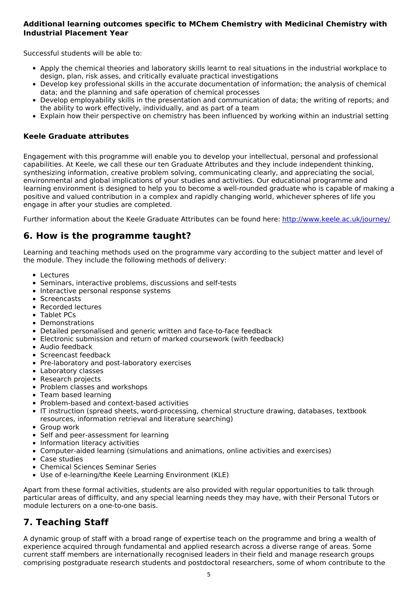### **Additional learning outcomes specific to MChem Chemistry with Medicinal Chemistry with Industrial Placement Year**

Successful students will be able to:

- Apply the chemical theories and laboratory skills learnt to real situations in the industrial workplace to design, plan, risk asses, and critically evaluate practical investigations
- Develop key professional skills in the accurate documentation of information; the analysis of chemical data; and the planning and safe operation of chemical processes
- Develop employability skills in the presentation and communication of data; the writing of reports; and the ability to work effectively, individually, and as part of a team
- Explain how their perspective on chemistry has been influenced by working within an industrial setting

#### **Keele Graduate attributes**

Engagement with this programme will enable you to develop your intellectual, personal and professional capabilities. At Keele, we call these our ten Graduate Attributes and they include independent thinking, synthesizing information, creative problem solving, communicating clearly, and appreciating the social, environmental and global implications of your studies and activities. Our educational programme and learning environment is designed to help you to become a well-rounded graduate who is capable of making a positive and valued contribution in a complex and rapidly changing world, whichever spheres of life you engage in after your studies are completed.

Further information about the Keele Graduate Attributes can be found here: <http://www.keele.ac.uk/journey/>

### **6. How is the programme taught?**

Learning and teaching methods used on the programme vary according to the subject matter and level of the module. They include the following methods of delivery:

- Lectures
- Seminars, interactive problems, discussions and self-tests
- Interactive personal response systems
- Screencasts
- Recorded lectures
- Tablet PCs
- Demonstrations
- Detailed personalised and generic written and face-to-face feedback
- Electronic submission and return of marked coursework (with feedback)
- Audio feedback
- Screencast feedback
- Pre-laboratory and post-laboratory exercises
- Laboratory classes
- Research projects
- Problem classes and workshops
- Team based learning
- Problem-based and context-based activities
- IT instruction (spread sheets, word-processing, chemical structure drawing, databases, textbook resources, information retrieval and literature searching)
- Group work
- Self and peer-assessment for learning
- Information literacy activities
- Computer-aided learning (simulations and animations, online activities and exercises)
- Case studies
- Chemical Sciences Seminar Series
- Use of e-learning/the Keele Learning Environment (KLE)

Apart from these formal activities, students are also provided with regular opportunities to talk through particular areas of difficulty, and any special learning needs they may have, with their Personal Tutors or module lecturers on a one-to-one basis.

## **7. Teaching Staff**

A dynamic group of staff with a broad range of expertise teach on the programme and bring a wealth of experience acquired through fundamental and applied research across a diverse range of areas. Some current staff members are internationally recognised leaders in their field and manage research groups comprising postgraduate research students and postdoctoral researchers, some of whom contribute to the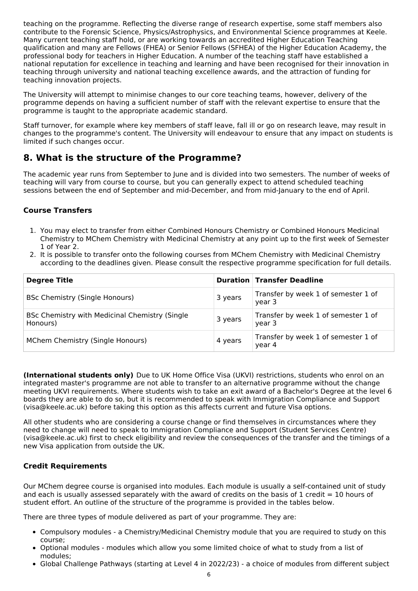teaching on the programme. Reflecting the diverse range of research expertise, some staff members also contribute to the Forensic Science, Physics/Astrophysics, and Environmental Science programmes at Keele. Many current teaching staff hold, or are working towards an accredited Higher Education Teaching qualification and many are Fellows (FHEA) or Senior Fellows (SFHEA) of the Higher Education Academy, the professional body for teachers in Higher Education. A number of the teaching staff have established a national reputation for excellence in teaching and learning and have been recognised for their innovation in teaching through university and national teaching excellence awards, and the attraction of funding for teaching innovation projects.

The University will attempt to minimise changes to our core teaching teams, however, delivery of the programme depends on having a sufficient number of staff with the relevant expertise to ensure that the programme is taught to the appropriate academic standard.

Staff turnover, for example where key members of staff leave, fall ill or go on research leave, may result in changes to the programme's content. The University will endeavour to ensure that any impact on students is limited if such changes occur.

## **8. What is the structure of the Programme?**

The academic year runs from September to June and is divided into two semesters. The number of weeks of teaching will vary from course to course, but you can generally expect to attend scheduled teaching sessions between the end of September and mid-December, and from mid-January to the end of April.

### **Course Transfers**

- 1. You may elect to transfer from either Combined Honours Chemistry or Combined Honours Medicinal Chemistry to MChem Chemistry with Medicinal Chemistry at any point up to the first week of Semester 1 of Year 2.
- 2. It is possible to transfer onto the following courses from MChem Chemistry with Medicinal Chemistry according to the deadlines given. Please consult the respective programme specification for full details.

| <b>Degree Title</b>                                        |         | <b>Duration Transfer Deadline</b>             |
|------------------------------------------------------------|---------|-----------------------------------------------|
| <b>BSc Chemistry (Single Honours)</b>                      | 3 years | Transfer by week 1 of semester 1 of<br>year 3 |
| BSc Chemistry with Medicinal Chemistry (Single<br>Honours) | 3 years | Transfer by week 1 of semester 1 of<br>year 3 |
| MChem Chemistry (Single Honours)                           | 4 years | Transfer by week 1 of semester 1 of<br>year 4 |

**(International students only)** Due to UK Home Office Visa (UKVI) restrictions, students who enrol on an integrated master's programme are not able to transfer to an alternative programme without the change meeting UKVI requirements. Where students wish to take an exit award of a Bachelor's Degree at the level 6 boards they are able to do so, but it is recommended to speak with Immigration Compliance and Support (visa@keele.ac.uk) before taking this option as this affects current and future Visa options.

All other students who are considering a course change or find themselves in circumstances where they need to change will need to speak to Immigration Compliance and Support (Student Services Centre) (visa@keele.ac.uk) first to check eligibility and review the consequences of the transfer and the timings of a new Visa application from outside the UK.

#### **Credit Requirements**

Our MChem degree course is organised into modules. Each module is usually a self-contained unit of study and each is usually assessed separately with the award of credits on the basis of 1 credit  $= 10$  hours of student effort. An outline of the structure of the programme is provided in the tables below.

There are three types of module delivered as part of your programme. They are:

- Compulsory modules a Chemistry/Medicinal Chemistry module that you are required to study on this course;
- Optional modules modules which allow you some limited choice of what to study from a list of modules;
- Global Challenge Pathways (starting at Level 4 in 2022/23) a choice of modules from different subject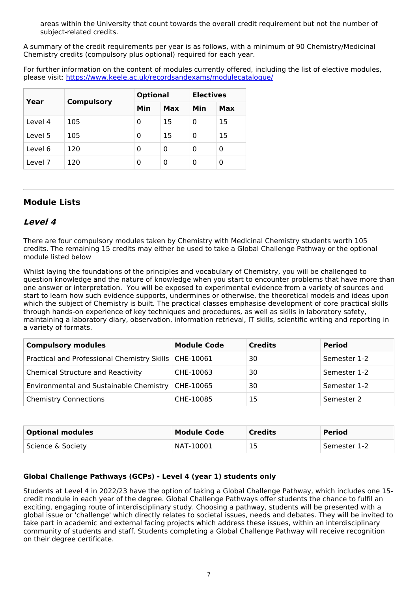areas within the University that count towards the overall credit requirement but not the number of subject-related credits.

A summary of the credit requirements per year is as follows, with a minimum of 90 Chemistry/Medicinal Chemistry credits (compulsory plus optional) required for each year.

For further information on the content of modules currently offered, including the list of elective modules, please visit: <https://www.keele.ac.uk/recordsandexams/modulecatalogue/>

| Year    | <b>Compulsory</b> |     | <b>Optional</b> |     | <b>Electives</b> |  |
|---------|-------------------|-----|-----------------|-----|------------------|--|
|         |                   | Min | Max             | Min | Max              |  |
| Level 4 | 105               | 0   | 15              | 0   | 15               |  |
| Level 5 | 105               | 0   | 15              | 0   | 15               |  |
| Level 6 | 120               | 0   | 0               | 0   | 0                |  |
| Level 7 | 120               | 0   | 0               | 0   | 0                |  |

### **Module Lists**

### **Level 4**

There are four compulsory modules taken by Chemistry with Medicinal Chemistry students worth 105 credits. The remaining 15 credits may either be used to take a Global Challenge Pathway or the optional module listed below

Whilst laying the foundations of the principles and vocabulary of Chemistry, you will be challenged to question knowledge and the nature of knowledge when you start to encounter problems that have more than one answer or interpretation. You will be exposed to experimental evidence from a variety of sources and start to learn how such evidence supports, undermines or otherwise, the theoretical models and ideas upon which the subject of Chemistry is built. The practical classes emphasise development of core practical skills through hands-on experience of key techniques and procedures, as well as skills in laboratory safety, maintaining a laboratory diary, observation, information retrieval, IT skills, scientific writing and reporting in a variety of formats.

| <b>Compulsory modules</b>                               | <b>Module Code</b> | <b>Credits</b> | <b>Period</b> |
|---------------------------------------------------------|--------------------|----------------|---------------|
| Practical and Professional Chemistry Skills   CHE-10061 |                    | 30             | Semester 1-2  |
| <b>Chemical Structure and Reactivity</b>                | CHE-10063          | 30             | Semester 1-2  |
| Environmental and Sustainable Chemistry                 | CHE-10065          | 30             | Semester 1-2  |
| <b>Chemistry Connections</b>                            | CHE-10085          | 15             | Semester 2    |

| <b>Optional modules</b> | <b>Module Code</b> | <b>Credits</b> | <b>Period</b> |
|-------------------------|--------------------|----------------|---------------|
| Science & Society       | NAT-10001          | 15             | Semester 1-2  |

#### **Global Challenge Pathways (GCPs) - Level 4 (year 1) students only**

Students at Level 4 in 2022/23 have the option of taking a Global Challenge Pathway, which includes one 15 credit module in each year of the degree. Global Challenge Pathways offer students the chance to fulfil an exciting, engaging route of interdisciplinary study. Choosing a pathway, students will be presented with a global issue or 'challenge' which directly relates to societal issues, needs and debates. They will be invited to take part in academic and external facing projects which address these issues, within an interdisciplinary community of students and staff. Students completing a Global Challenge Pathway will receive recognition on their degree certificate.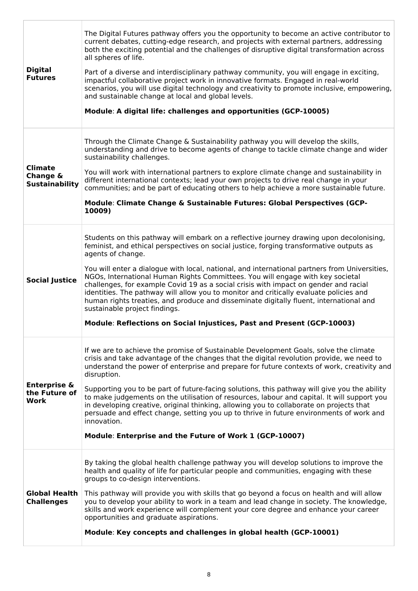| <b>Digital</b><br><b>Futures</b>                    | The Digital Futures pathway offers you the opportunity to become an active contributor to<br>current debates, cutting-edge research, and projects with external partners, addressing<br>both the exciting potential and the challenges of disruptive digital transformation across<br>all spheres of life.<br>Part of a diverse and interdisciplinary pathway community, you will engage in exciting,<br>impactful collaborative project work in innovative formats. Engaged in real-world<br>scenarios, you will use digital technology and creativity to promote inclusive, empowering,<br>and sustainable change at local and global levels.<br>Module: A digital life: challenges and opportunities (GCP-10005)                                                               |
|-----------------------------------------------------|-----------------------------------------------------------------------------------------------------------------------------------------------------------------------------------------------------------------------------------------------------------------------------------------------------------------------------------------------------------------------------------------------------------------------------------------------------------------------------------------------------------------------------------------------------------------------------------------------------------------------------------------------------------------------------------------------------------------------------------------------------------------------------------|
| <b>Climate</b><br>Change &<br><b>Sustainability</b> | Through the Climate Change & Sustainability pathway you will develop the skills,<br>understanding and drive to become agents of change to tackle climate change and wider<br>sustainability challenges.<br>You will work with international partners to explore climate change and sustainability in<br>different international contexts; lead your own projects to drive real change in your<br>communities; and be part of educating others to help achieve a more sustainable future.<br>Module: Climate Change & Sustainable Futures: Global Perspectives (GCP-<br>10009)                                                                                                                                                                                                     |
| <b>Social Justice</b>                               | Students on this pathway will embark on a reflective journey drawing upon decolonising,<br>feminist, and ethical perspectives on social justice, forging transformative outputs as<br>agents of change.<br>You will enter a dialogue with local, national, and international partners from Universities,<br>NGOs, International Human Rights Committees. You will engage with key societal<br>challenges, for example Covid 19 as a social crisis with impact on gender and racial<br>identities. The pathway will allow you to monitor and critically evaluate policies and<br>human rights treaties, and produce and disseminate digitally fluent, international and<br>sustainable project findings.<br>Module: Reflections on Social Injustices, Past and Present (GCP-10003) |
| <b>Enterprise &amp;</b><br>the Future of<br>Work    | If we are to achieve the promise of Sustainable Development Goals, solve the climate<br>crisis and take advantage of the changes that the digital revolution provide, we need to<br>understand the power of enterprise and prepare for future contexts of work, creativity and<br>disruption.<br>Supporting you to be part of future-facing solutions, this pathway will give you the ability<br>to make judgements on the utilisation of resources, labour and capital. It will support you<br>in developing creative, original thinking, allowing you to collaborate on projects that<br>persuade and effect change, setting you up to thrive in future environments of work and<br>innovation.<br>Module: Enterprise and the Future of Work 1 (GCP-10007)                      |
| <b>Global Health</b><br><b>Challenges</b>           | By taking the global health challenge pathway you will develop solutions to improve the<br>health and quality of life for particular people and communities, engaging with these<br>groups to co-design interventions.<br>This pathway will provide you with skills that go beyond a focus on health and will allow<br>you to develop your ability to work in a team and lead change in society. The knowledge,<br>skills and work experience will complement your core degree and enhance your career<br>opportunities and graduate aspirations.<br>Module: Key concepts and challenges in global health (GCP-10001)                                                                                                                                                             |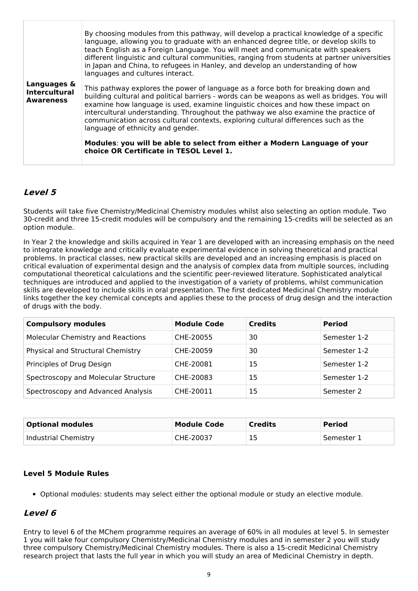|                                                         | By choosing modules from this pathway, will develop a practical knowledge of a specific<br>language, allowing you to graduate with an enhanced degree title, or develop skills to<br>teach English as a Foreign Language. You will meet and communicate with speakers<br>different linguistic and cultural communities, ranging from students at partner universities<br>in Japan and China, to refugees in Hanley, and develop an understanding of how<br>languages and cultures interact. |
|---------------------------------------------------------|---------------------------------------------------------------------------------------------------------------------------------------------------------------------------------------------------------------------------------------------------------------------------------------------------------------------------------------------------------------------------------------------------------------------------------------------------------------------------------------------|
| Languages &<br><b>Intercultural</b><br><b>Awareness</b> | This pathway explores the power of language as a force both for breaking down and<br>building cultural and political barriers - words can be weapons as well as bridges. You will<br>examine how language is used, examine linguistic choices and how these impact on<br>intercultural understanding. Throughout the pathway we also examine the practice of<br>communication across cultural contexts, exploring cultural differences such as the<br>language of ethnicity and gender.     |
|                                                         | Modules: you will be able to select from either a Modern Language of your<br>choice OR Certificate in TESOL Level 1.                                                                                                                                                                                                                                                                                                                                                                        |

### **Level 5**

Students will take five Chemistry/Medicinal Chemistry modules whilst also selecting an option module. Two 30-credit and three 15-credit modules will be compulsory and the remaining 15-credits will be selected as an option module.

In Year 2 the knowledge and skills acquired in Year 1 are developed with an increasing emphasis on the need to integrate knowledge and critically evaluate experimental evidence in solving theoretical and practical problems. In practical classes, new practical skills are developed and an increasing emphasis is placed on critical evaluation of experimental design and the analysis of complex data from multiple sources, including computational theoretical calculations and the scientific peer-reviewed literature. Sophisticated analytical techniques are introduced and applied to the investigation of a variety of problems, whilst communication skills are developed to include skills in oral presentation. The first dedicated Medicinal Chemistry module links together the key chemical concepts and applies these to the process of drug design and the interaction of drugs with the body.

| <b>Compulsory modules</b>                | <b>Module Code</b> | <b>Credits</b> | <b>Period</b> |
|------------------------------------------|--------------------|----------------|---------------|
| <b>Molecular Chemistry and Reactions</b> | CHE-20055          | 30             | Semester 1-2  |
| Physical and Structural Chemistry        | CHE-20059          | 30             | Semester 1-2  |
| Principles of Drug Design                | CHE-20081          | 15             | Semester 1-2  |
| Spectroscopy and Molecular Structure     | CHE-20083          | 15             | Semester 1-2  |
| Spectroscopy and Advanced Analysis       | CHE-20011          | 15             | Semester 2    |

| <b>Optional modules</b> | <b>Module Code</b> | <b>Credits</b> | Period       |
|-------------------------|--------------------|----------------|--------------|
| Industrial Chemistry    | CHE-20037          | 15             | ' Semester 1 |

#### **Level 5 Module Rules**

Optional modules: students may select either the optional module or study an elective module.

#### **Level 6**

Entry to level 6 of the MChem programme requires an average of 60% in all modules at level 5. In semester 1 you will take four compulsory Chemistry/Medicinal Chemistry modules and in semester 2 you will study three compulsory Chemistry/Medicinal Chemistry modules. There is also a 15-credit Medicinal Chemistry research project that lasts the full year in which you will study an area of Medicinal Chemistry in depth.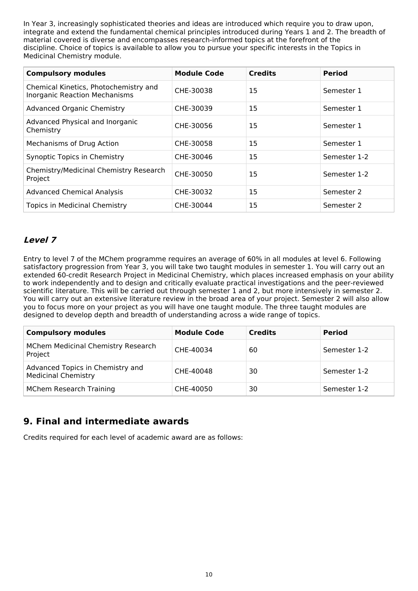In Year 3, increasingly sophisticated theories and ideas are introduced which require you to draw upon, integrate and extend the fundamental chemical principles introduced during Years 1 and 2. The breadth of material covered is diverse and encompasses research-informed topics at the forefront of the discipline. Choice of topics is available to allow you to pursue your specific interests in the Topics in Medicinal Chemistry module.

| <b>Compulsory modules</b>                                                     | <b>Module Code</b> | <b>Credits</b> | <b>Period</b> |
|-------------------------------------------------------------------------------|--------------------|----------------|---------------|
| Chemical Kinetics, Photochemistry and<br><b>Inorganic Reaction Mechanisms</b> | CHE-30038          | 15             | Semester 1    |
| <b>Advanced Organic Chemistry</b>                                             | CHE-30039          | 15             | Semester 1    |
| Advanced Physical and Inorganic<br>Chemistry                                  | CHE-30056          | 15             | Semester 1    |
| Mechanisms of Drug Action                                                     | CHE-30058          | 15             | Semester 1    |
| <b>Synoptic Topics in Chemistry</b>                                           | CHE-30046          | 15             | Semester 1-2  |
| Chemistry/Medicinal Chemistry Research<br>Project                             | CHE-30050          | 15             | Semester 1-2  |
| <b>Advanced Chemical Analysis</b>                                             | CHE-30032          | 15             | Semester 2    |
| <b>Topics in Medicinal Chemistry</b>                                          | CHE-30044          | 15             | Semester 2    |

## **Level 7**

Entry to level 7 of the MChem programme requires an average of 60% in all modules at level 6. Following satisfactory progression from Year 3, you will take two taught modules in semester 1. You will carry out an extended 60-credit Research Project in Medicinal Chemistry, which places increased emphasis on your ability to work independently and to design and critically evaluate practical investigations and the peer-reviewed scientific literature. This will be carried out through semester 1 and 2, but more intensively in semester 2. You will carry out an extensive literature review in the broad area of your project. Semester 2 will also allow you to focus more on your project as you will have one taught module. The three taught modules are designed to develop depth and breadth of understanding across a wide range of topics.

| <b>Compulsory modules</b>                                      | <b>Module Code</b> | <b>Credits</b> | <b>Period</b> |
|----------------------------------------------------------------|--------------------|----------------|---------------|
| MChem Medicinal Chemistry Research<br>Project                  | CHE-40034          | 60             | Semester 1-2  |
| Advanced Topics in Chemistry and<br><b>Medicinal Chemistry</b> | CHE-40048          | 30             | Semester 1-2  |
| <b>MChem Research Training</b>                                 | CHE-40050          | 30             | Semester 1-2  |

## **9. Final and intermediate awards**

Credits required for each level of academic award are as follows: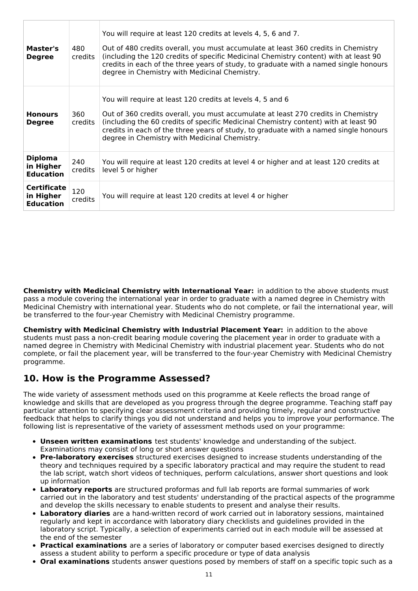| Master's<br><b>Degree</b>                           | 480<br>credits        | You will require at least 120 credits at levels 4, 5, 6 and 7.<br>Out of 480 credits overall, you must accumulate at least 360 credits in Chemistry<br>(including the 120 credits of specific Medicinal Chemistry content) with at least 90<br>credits in each of the three years of study, to graduate with a named single honours<br>degree in Chemistry with Medicinal Chemistry. |  |
|-----------------------------------------------------|-----------------------|--------------------------------------------------------------------------------------------------------------------------------------------------------------------------------------------------------------------------------------------------------------------------------------------------------------------------------------------------------------------------------------|--|
| <b>Honours</b><br><b>Degree</b>                     | 360<br><b>credits</b> | You will require at least 120 credits at levels 4, 5 and 6<br>Out of 360 credits overall, you must accumulate at least 270 credits in Chemistry<br>(including the 60 credits of specific Medicinal Chemistry content) with at least 90<br>credits in each of the three years of study, to graduate with a named single honours<br>degree in Chemistry with Medicinal Chemistry.      |  |
| <b>Diploma</b><br>in Higher<br><b>Education</b>     | 240<br>credits        | You will require at least 120 credits at level 4 or higher and at least 120 credits at<br>level 5 or higher                                                                                                                                                                                                                                                                          |  |
| <b>Certificate</b><br>in Higher<br><b>Education</b> | 120<br>credits        | You will require at least 120 credits at level 4 or higher                                                                                                                                                                                                                                                                                                                           |  |

**Chemistry with Medicinal Chemistry with International Year:** in addition to the above students must pass a module covering the international year in order to graduate with a named degree in Chemistry with Medicinal Chemistry with international year. Students who do not complete, or fail the international year, will be transferred to the four-year Chemistry with Medicinal Chemistry programme.

**Chemistry with Medicinal Chemistry with Industrial Placement Year:** in addition to the above students must pass a non-credit bearing module covering the placement year in order to graduate with a named degree in Chemistry with Medicinal Chemistry with industrial placement year. Students who do not complete, or fail the placement year, will be transferred to the four-year Chemistry with Medicinal Chemistry programme.

## **10. How is the Programme Assessed?**

The wide variety of assessment methods used on this programme at Keele reflects the broad range of knowledge and skills that are developed as you progress through the degree programme. Teaching staff pay particular attention to specifying clear assessment criteria and providing timely, regular and constructive feedback that helps to clarify things you did not understand and helps you to improve your performance. The following list is representative of the variety of assessment methods used on your programme:

- **Unseen written examinations** test students' knowledge and understanding of the subject. Examinations may consist of long or short answer questions
- **Pre-laboratory exercises** structured exercises designed to increase students understanding of the theory and techniques required by a specific laboratory practical and may require the student to read the lab script, watch short videos of techniques, perform calculations, answer short questions and look up information
- **Laboratory reports** are structured proformas and full lab reports are formal summaries of work carried out in the laboratory and test students' understanding of the practical aspects of the programme and develop the skills necessary to enable students to present and analyse their results.
- **Laboratory diaries** are a hand-written record of work carried out in laboratory sessions, maintained regularly and kept in accordance with laboratory diary checklists and guidelines provided in the laboratory script. Typically, a selection of experiments carried out in each module will be assessed at the end of the semester
- **Practical examinations** are a series of laboratory or computer based exercises designed to directly assess a student ability to perform a specific procedure or type of data analysis
- **Oral examinations** students answer questions posed by members of staff on a specific topic such as a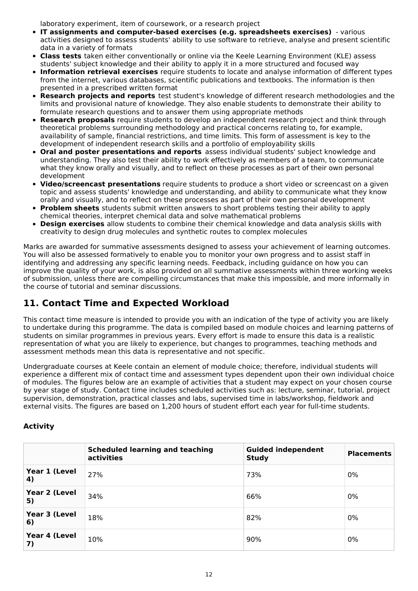laboratory experiment, item of coursework, or a research project

- **IT assignments and computer-based exercises (e.g. spreadsheets exercises)** various activities designed to assess students' ability to use software to retrieve, analyse and present scientific data in a variety of formats
- **Class tests** taken either conventionally or online via the Keele Learning Environment (KLE) assess students' subject knowledge and their ability to apply it in a more structured and focused way
- **Information retrieval exercises** require students to locate and analyse information of different types from the internet, various databases, scientific publications and textbooks. The information is then presented in a prescribed written format
- **Research projects and reports** test student's knowledge of different research methodologies and the limits and provisional nature of knowledge. They also enable students to demonstrate their ability to formulate research questions and to answer them using appropriate methods
- **Research proposals** require students to develop an independent research project and think through theoretical problems surrounding methodology and practical concerns relating to, for example, availability of sample, financial restrictions, and time limits. This form of assessment is key to the development of independent research skills and a portfolio of employability skills
- **Oral and poster presentations and reports** assess individual students' subject knowledge and understanding. They also test their ability to work effectively as members of a team, to communicate what they know orally and visually, and to reflect on these processes as part of their own personal development
- **Video/screencast presentations** require students to produce a short video or screencast on a given topic and assess students' knowledge and understanding, and ability to communicate what they know orally and visually, and to reflect on these processes as part of their own personal development
- **Problem sheets** students submit written answers to short problems testing their ability to apply chemical theories, interpret chemical data and solve mathematical problems
- **Design exercises** allow students to combine their chemical knowledge and data analysis skills with creativity to design drug molecules and synthetic routes to complex molecules

Marks are awarded for summative assessments designed to assess your achievement of learning outcomes. You will also be assessed formatively to enable you to monitor your own progress and to assist staff in identifying and addressing any specific learning needs. Feedback, including guidance on how you can improve the quality of your work, is also provided on all summative assessments within three working weeks of submission, unless there are compelling circumstances that make this impossible, and more informally in the course of tutorial and seminar discussions.

## **11. Contact Time and Expected Workload**

This contact time measure is intended to provide you with an indication of the type of activity you are likely to undertake during this programme. The data is compiled based on module choices and learning patterns of students on similar programmes in previous years. Every effort is made to ensure this data is a realistic representation of what you are likely to experience, but changes to programmes, teaching methods and assessment methods mean this data is representative and not specific.

Undergraduate courses at Keele contain an element of module choice; therefore, individual students will experience a different mix of contact time and assessment types dependent upon their own individual choice of modules. The figures below are an example of activities that a student may expect on your chosen course by year stage of study. Contact time includes scheduled activities such as: lecture, seminar, tutorial, project supervision, demonstration, practical classes and labs, supervised time in labs/workshop, fieldwork and external visits. The figures are based on 1,200 hours of student effort each year for full-time students.

### **Activity**

|                     | <b>Scheduled learning and teaching</b><br>activities | <b>Guided independent</b><br><b>Study</b> | <b>Placements</b> |
|---------------------|------------------------------------------------------|-------------------------------------------|-------------------|
| Year 1 (Level<br>4) | 27%                                                  | 73%                                       | 0%                |
| Year 2 (Level<br>5) | 34%                                                  | 66%                                       | 0%                |
| Year 3 (Level<br>6) | 18%                                                  | 82%                                       | 0%                |
| Year 4 (Level<br>7) | 10%                                                  | 90%                                       | 0%                |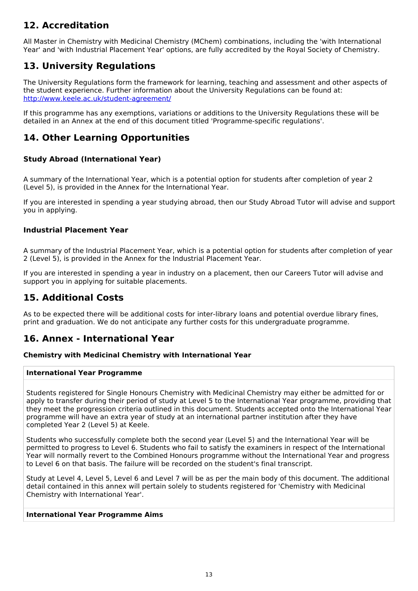## **12. Accreditation**

All Master in Chemistry with Medicinal Chemistry (MChem) combinations, including the 'with International Year' and 'with Industrial Placement Year' options, are fully accredited by the Royal Society of Chemistry.

## **13. University Regulations**

The University Regulations form the framework for learning, teaching and assessment and other aspects of the student experience. Further information about the University Regulations can be found at: <http://www.keele.ac.uk/student-agreement/>

If this programme has any exemptions, variations or additions to the University Regulations these will be detailed in an Annex at the end of this document titled 'Programme-specific regulations'.

## **14. Other Learning Opportunities**

#### **Study Abroad (International Year)**

A summary of the International Year, which is a potential option for students after completion of year 2 (Level 5), is provided in the Annex for the International Year.

If you are interested in spending a year studying abroad, then our Study Abroad Tutor will advise and support you in applying.

#### **Industrial Placement Year**

A summary of the Industrial Placement Year, which is a potential option for students after completion of year 2 (Level 5), is provided in the Annex for the Industrial Placement Year.

If you are interested in spending a year in industry on a placement, then our Careers Tutor will advise and support you in applying for suitable placements.

## **15. Additional Costs**

As to be expected there will be additional costs for inter-library loans and potential overdue library fines, print and graduation. We do not anticipate any further costs for this undergraduate programme.

### **16. Annex - International Year**

#### **Chemistry with Medicinal Chemistry with International Year**

#### **International Year Programme**

Students registered for Single Honours Chemistry with Medicinal Chemistry may either be admitted for or apply to transfer during their period of study at Level 5 to the International Year programme, providing that they meet the progression criteria outlined in this document. Students accepted onto the International Year programme will have an extra year of study at an international partner institution after they have completed Year 2 (Level 5) at Keele.

Students who successfully complete both the second year (Level 5) and the International Year will be permitted to progress to Level 6. Students who fail to satisfy the examiners in respect of the International Year will normally revert to the Combined Honours programme without the International Year and progress to Level 6 on that basis. The failure will be recorded on the student's final transcript.

Study at Level 4, Level 5, Level 6 and Level 7 will be as per the main body of this document. The additional detail contained in this annex will pertain solely to students registered for 'Chemistry with Medicinal Chemistry with International Year'.

#### **International Year Programme Aims**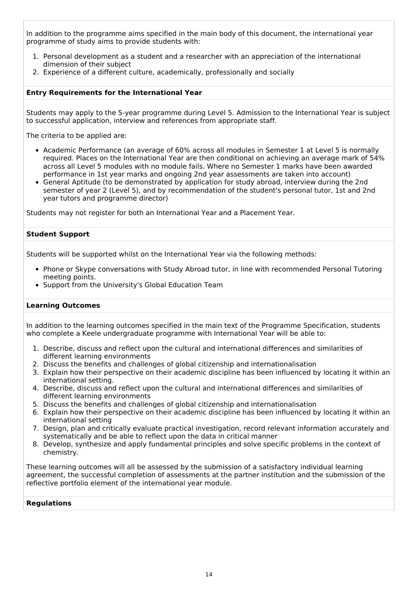In addition to the programme aims specified in the main body of this document, the international year programme of study aims to provide students with:

- 1. Personal development as a student and a researcher with an appreciation of the international dimension of their subject
- 2. Experience of a different culture, academically, professionally and socially

#### **Entry Requirements for the International Year**

Students may apply to the 5-year programme during Level 5. Admission to the International Year is subject to successful application, interview and references from appropriate staff.

The criteria to be applied are:

- Academic Performance (an average of 60% across all modules in Semester 1 at Level 5 is normally required. Places on the International Year are then conditional on achieving an average mark of 54% across all Level 5 modules with no module fails. Where no Semester 1 marks have been awarded performance in 1st year marks and ongoing 2nd year assessments are taken into account)
- General Aptitude (to be demonstrated by application for study abroad, interview during the 2nd semester of year 2 (Level 5), and by recommendation of the student's personal tutor, 1st and 2nd year tutors and programme director)

Students may not register for both an International Year and a Placement Year.

#### **Student Support**

Students will be supported whilst on the International Year via the following methods:

- Phone or Skype conversations with Study Abroad tutor, in line with recommended Personal Tutoring meeting points.
- Support from the University's Global Education Team

#### **Learning Outcomes**

In addition to the learning outcomes specified in the main text of the Programme Specification, students who complete a Keele undergraduate programme with International Year will be able to:

- 1. Describe, discuss and reflect upon the cultural and international differences and similarities of different learning environments
- 2. Discuss the benefits and challenges of global citizenship and internationalisation
- 3. Explain how their perspective on their academic discipline has been influenced by locating it within an international setting.
- 4. Describe, discuss and reflect upon the cultural and international differences and similarities of different learning environments
- 5. Discuss the benefits and challenges of global citizenship and internationalisation
- 6. Explain how their perspective on their academic discipline has been influenced by locating it within an international setting
- 7. Design, plan and critically evaluate practical investigation, record relevant information accurately and systematically and be able to reflect upon the data in critical manner
- 8. Develop, synthesize and apply fundamental principles and solve specific problems in the context of chemistry.

These learning outcomes will all be assessed by the submission of a satisfactory individual learning agreement, the successful completion of assessments at the partner institution and the submission of the reflective portfolio element of the international year module.

#### **Regulations**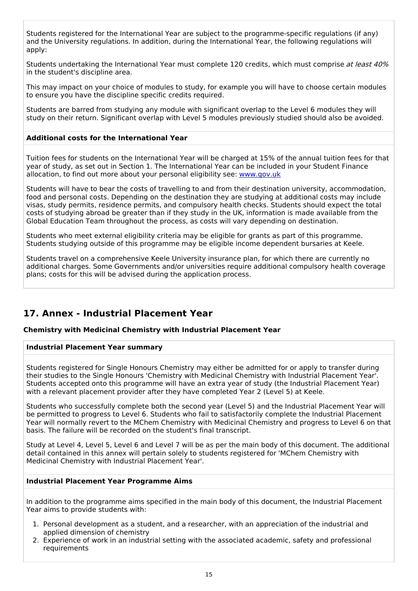Students registered for the International Year are subject to the programme-specific regulations (if any) and the University regulations. In addition, during the International Year, the following regulations will apply:

Students undertaking the International Year must complete 120 credits, which must comprise at least 40% in the student's discipline area.

This may impact on your choice of modules to study, for example you will have to choose certain modules to ensure you have the discipline specific credits required.

Students are barred from studying any module with significant overlap to the Level 6 modules they will study on their return. Significant overlap with Level 5 modules previously studied should also be avoided.

#### **Additional costs for the International Year**

Tuition fees for students on the International Year will be charged at 15% of the annual tuition fees for that year of study, as set out in Section 1. The International Year can be included in your Student Finance allocation, to find out more about your personal eligibility see: [www.gov.uk](http://www.gov.uk/)

Students will have to bear the costs of travelling to and from their destination university, accommodation, food and personal costs. Depending on the destination they are studying at additional costs may include visas, study permits, residence permits, and compulsory health checks. Students should expect the total costs of studying abroad be greater than if they study in the UK, information is made available from the Global Education Team throughout the process, as costs will vary depending on destination.

Students who meet external eligibility criteria may be eligible for grants as part of this programme. Students studying outside of this programme may be eligible income dependent bursaries at Keele.

Students travel on a comprehensive Keele University insurance plan, for which there are currently no additional charges. Some Governments and/or universities require additional compulsory health coverage plans; costs for this will be advised during the application process.

## **17. Annex - Industrial Placement Year**

#### **Chemistry with Medicinal Chemistry with Industrial Placement Year**

#### **Industrial Placement Year summary**

Students registered for Single Honours Chemistry may either be admitted for or apply to transfer during their studies to the Single Honours 'Chemistry with Medicinal Chemistry with Industrial Placement Year'. Students accepted onto this programme will have an extra year of study (the Industrial Placement Year) with a relevant placement provider after they have completed Year 2 (Level 5) at Keele.

Students who successfully complete both the second year (Level 5) and the Industrial Placement Year will be permitted to progress to Level 6. Students who fail to satisfactorily complete the Industrial Placement Year will normally revert to the MChem Chemistry with Medicinal Chemistry and progress to Level 6 on that basis. The failure will be recorded on the student's final transcript.

Study at Level 4, Level 5, Level 6 and Level 7 will be as per the main body of this document. The additional detail contained in this annex will pertain solely to students registered for 'MChem Chemistry with Medicinal Chemistry with Industrial Placement Year'.

#### **Industrial Placement Year Programme Aims**

In addition to the programme aims specified in the main body of this document, the Industrial Placement Year aims to provide students with:

- 1. Personal development as a student, and a researcher, with an appreciation of the industrial and applied dimension of chemistry
- 2. Experience of work in an industrial setting with the associated academic, safety and professional requirements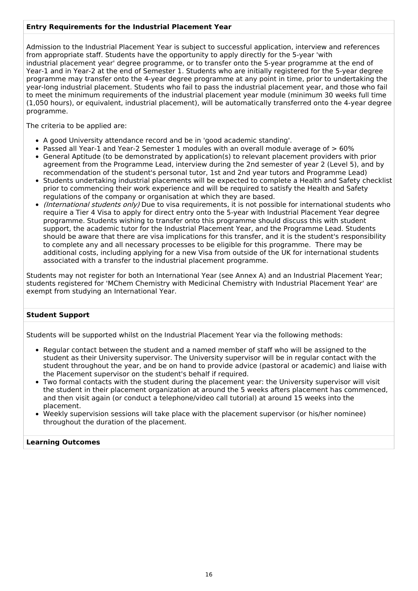#### **Entry Requirements for the Industrial Placement Year**

Admission to the Industrial Placement Year is subject to successful application, interview and references from appropriate staff. Students have the opportunity to apply directly for the 5-year 'with industrial placement year' degree programme, or to transfer onto the 5-year programme at the end of Year-1 and in Year-2 at the end of Semester 1. Students who are initially registered for the 5-year degree programme may transfer onto the 4-year degree programme at any point in time, prior to undertaking the year-long industrial placement. Students who fail to pass the industrial placement year, and those who fail to meet the minimum requirements of the industrial placement year module (minimum 30 weeks full time (1,050 hours), or equivalent, industrial placement), will be automatically transferred onto the 4-year degree programme.

The criteria to be applied are:

- A good University attendance record and be in 'good academic standing'.
- Passed all Year-1 and Year-2 Semester 1 modules with an overall module average of > 60%
- General Aptitude (to be demonstrated by application(s) to relevant placement providers with prior agreement from the Programme Lead, interview during the 2nd semester of year 2 (Level 5), and by recommendation of the student's personal tutor, 1st and 2nd year tutors and Programme Lead)
- Students undertaking industrial placements will be expected to complete a Health and Safety checklist prior to commencing their work experience and will be required to satisfy the Health and Safety regulations of the company or organisation at which they are based.
- (International students only) Due to visa requirements, it is not possible for international students who require a Tier 4 Visa to apply for direct entry onto the 5-year with Industrial Placement Year degree programme. Students wishing to transfer onto this programme should discuss this with student support, the academic tutor for the Industrial Placement Year, and the Programme Lead. Students should be aware that there are visa implications for this transfer, and it is the student's responsibility to complete any and all necessary processes to be eligible for this programme. There may be additional costs, including applying for a new Visa from outside of the UK for international students associated with a transfer to the industrial placement programme.

Students may not register for both an International Year (see Annex A) and an Industrial Placement Year; students registered for 'MChem Chemistry with Medicinal Chemistry with Industrial Placement Year' are exempt from studying an International Year.

#### **Student Support**

Students will be supported whilst on the Industrial Placement Year via the following methods:

- Regular contact between the student and a named member of staff who will be assigned to the student as their University supervisor. The University supervisor will be in regular contact with the student throughout the year, and be on hand to provide advice (pastoral or academic) and liaise with the Placement supervisor on the student's behalf if required.
- Two formal contacts with the student during the placement year: the University supervisor will visit the student in their placement organization at around the 5 weeks afters placement has commenced, and then visit again (or conduct a telephone/video call tutorial) at around 15 weeks into the placement.
- Weekly supervision sessions will take place with the placement supervisor (or his/her nominee) throughout the duration of the placement.

#### **Learning Outcomes**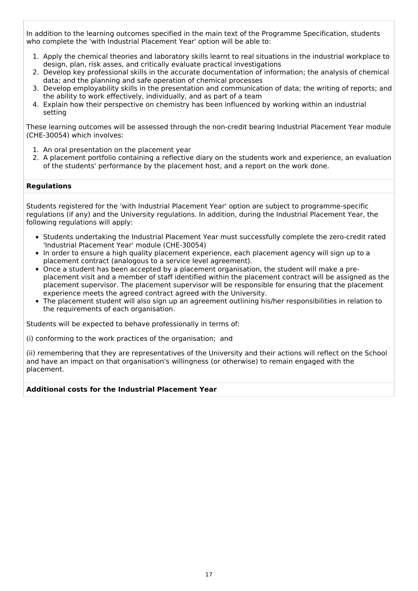In addition to the learning outcomes specified in the main text of the Programme Specification, students who complete the 'with Industrial Placement Year' option will be able to:

- 1. Apply the chemical theories and laboratory skills learnt to real situations in the industrial workplace to design, plan, risk asses, and critically evaluate practical investigations
- 2. Develop key professional skills in the accurate documentation of information; the analysis of chemical data; and the planning and safe operation of chemical processes
- 3. Develop employability skills in the presentation and communication of data; the writing of reports; and the ability to work effectively, individually, and as part of a team
- 4. Explain how their perspective on chemistry has been influenced by working within an industrial setting

These learning outcomes will be assessed through the non-credit bearing Industrial Placement Year module (CHE-30054) which involves:

- 1. An oral presentation on the placement year
- 2. A placement portfolio containing a reflective diary on the students work and experience, an evaluation of the students' performance by the placement host, and a report on the work done.

#### **Regulations**

Students registered for the 'with Industrial Placement Year' option are subject to programme-specific regulations (if any) and the University regulations. In addition, during the Industrial Placement Year, the following regulations will apply:

- Students undertaking the Industrial Placement Year must successfully complete the zero-credit rated 'Industrial Placement Year' module (CHE-30054)
- In order to ensure a high quality placement experience, each placement agency will sign up to a placement contract (analogous to a service level agreement).
- Once a student has been accepted by a placement organisation, the student will make a preplacement visit and a member of staff identified within the placement contract will be assigned as the placement supervisor. The placement supervisor will be responsible for ensuring that the placement experience meets the agreed contract agreed with the University.
- The placement student will also sign up an agreement outlining his/her responsibilities in relation to the requirements of each organisation.

Students will be expected to behave professionally in terms of:

(i) conforming to the work practices of the organisation; and

(ii) remembering that they are representatives of the University and their actions will reflect on the School and have an impact on that organisation's willingness (or otherwise) to remain engaged with the placement.

#### **Additional costs for the Industrial Placement Year**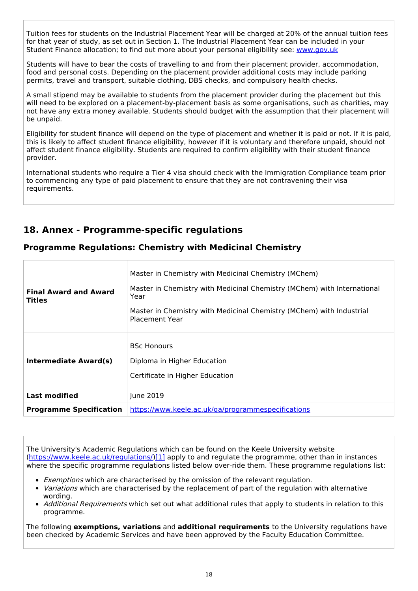Tuition fees for students on the Industrial Placement Year will be charged at 20% of the annual tuition fees for that year of study, as set out in Section 1. The Industrial Placement Year can be included in your Student Finance allocation; to find out more about your personal eligibility see: [www.gov.uk](http://www.gov.uk/)

Students will have to bear the costs of travelling to and from their placement provider, accommodation, food and personal costs. Depending on the placement provider additional costs may include parking permits, travel and transport, suitable clothing, DBS checks, and compulsory health checks.

A small stipend may be available to students from the placement provider during the placement but this will need to be explored on a placement-by-placement basis as some organisations, such as charities, may not have any extra money available. Students should budget with the assumption that their placement will be unpaid.

Eligibility for student finance will depend on the type of placement and whether it is paid or not. If it is paid, this is likely to affect student finance eligibility, however if it is voluntary and therefore unpaid, should not affect student finance eligibility. Students are required to confirm eligibility with their student finance provider.

International students who require a Tier 4 visa should check with the Immigration Compliance team prior to commencing any type of paid placement to ensure that they are not contravening their visa requirements.

## **18. Annex - Programme-specific regulations**

### **Programme Regulations: Chemistry with Medicinal Chemistry**

| <b>Final Award and Award</b><br><b>Titles</b> | Master in Chemistry with Medicinal Chemistry (MChem)<br>Master in Chemistry with Medicinal Chemistry (MChem) with International<br>Year<br>Master in Chemistry with Medicinal Chemistry (MChem) with Industrial<br><b>Placement Year</b> |
|-----------------------------------------------|------------------------------------------------------------------------------------------------------------------------------------------------------------------------------------------------------------------------------------------|
| Intermediate Award(s)                         | <b>BSC Honours</b><br>Diploma in Higher Education<br>Certificate in Higher Education                                                                                                                                                     |
| <b>Last modified</b>                          | June 2019                                                                                                                                                                                                                                |
| <b>Programme Specification</b>                | https://www.keele.ac.uk/ga/programmespecifications                                                                                                                                                                                       |

The University's Academic Regulations which can be found on the Keele University website [\(https://www.keele.ac.uk/regulations/](https://www.keele.ac.uk/regulations/)[\)\[1\]](https://scims-api.keele.ac.uk/#_ftn1) apply to and regulate the programme, other than in instances where the specific programme regulations listed below over-ride them. These programme regulations list:

- **Exemptions which are characterised by the omission of the relevant regulation.**
- Variations which are characterised by the replacement of part of the regulation with alternative wording.
- Additional Requirements which set out what additional rules that apply to students in relation to this programme.

The following **exemptions, variations** and **additional requirements** to the University regulations have been checked by Academic Services and have been approved by the Faculty Education Committee.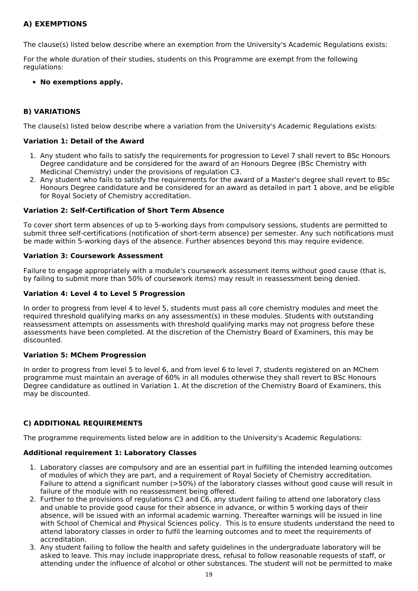### **A) EXEMPTIONS**

The clause(s) listed below describe where an exemption from the University's Academic Regulations exists:

For the whole duration of their studies, students on this Programme are exempt from the following regulations:

#### **No exemptions apply.**

#### **B) VARIATIONS**

The clause(s) listed below describe where a variation from the University's Academic Regulations exists:

#### **Variation 1: Detail of the Award**

- 1. Any student who fails to satisfy the requirements for progression to Level 7 shall revert to BSc Honours Degree candidature and be considered for the award of an Honours Degree (BSc Chemistry with Medicinal Chemistry) under the provisions of regulation C3.
- 2. Any student who fails to satisfy the requirements for the award of a Master's degree shall revert to BSc Honours Degree candidature and be considered for an award as detailed in part 1 above, and be eligible for Royal Society of Chemistry accreditation.

#### **Variation 2: Self-Certification of Short Term Absence**

To cover short term absences of up to 5-working days from compulsory sessions, students are permitted to submit three self-certifications (notification of short-term absence) per semester. Any such notifications must be made within 5-working days of the absence. Further absences beyond this may require evidence.

#### **Variation 3: Coursework Assessment**

Failure to engage appropriately with a module's coursework assessment items without good cause (that is, by failing to submit more than 50% of coursework items) may result in reassessment being denied.

#### **Variation 4: Level 4 to Level 5 Progression**

In order to progress from level 4 to level 5, students must pass all core chemistry modules and meet the required threshold qualifying marks on any assessment(s) in these modules. Students with outstanding reassessment attempts on assessments with threshold qualifying marks may not progress before these assessments have been completed. At the discretion of the Chemistry Board of Examiners, this may be discounted.

#### **Variation 5: MChem Progression**

In order to progress from level 5 to level 6, and from level 6 to level 7, students registered on an MChem programme must maintain an average of 60% in all modules otherwise they shall revert to BSc Honours Degree candidature as outlined in Variation 1. At the discretion of the Chemistry Board of Examiners, this may be discounted.

#### **C) ADDITIONAL REQUIREMENTS**

The programme requirements listed below are in addition to the University's Academic Regulations:

#### **Additional requirement 1: Laboratory Classes**

- 1. Laboratory classes are compulsory and are an essential part in fulfilling the intended learning outcomes of modules of which they are part, and a requirement of Royal Society of Chemistry accreditation. Failure to attend a significant number (>50%) of the laboratory classes without good cause will result in failure of the module with no reassessment being offered.
- 2. Further to the provisions of regulations C3 and C6, any student failing to attend one laboratory class and unable to provide good cause for their absence in advance, or within 5 working days of their absence, will be issued with an informal academic warning. Thereafter warnings will be issued in line with School of Chemical and Physical Sciences policy. This is to ensure students understand the need to attend laboratory classes in order to fulfil the learning outcomes and to meet the requirements of accreditation.
- 3. Any student failing to follow the health and safety guidelines in the undergraduate laboratory will be asked to leave. This may include inappropriate dress, refusal to follow reasonable requests of staff, or attending under the influence of alcohol or other substances. The student will not be permitted to make